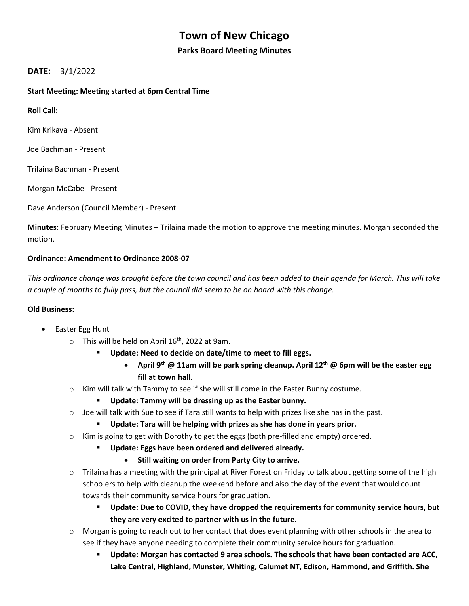# **Town of New Chicago**

## **Parks Board Meeting Minutes**

# **DATE:** 3/1/2022

## **Start Meeting: Meeting started at 6pm Central Time**

**Roll Call:** 

Kim Krikava - Absent

Joe Bachman - Present

Trilaina Bachman - Present

Morgan McCabe - Present

Dave Anderson (Council Member) - Present

**Minutes**: February Meeting Minutes – Trilaina made the motion to approve the meeting minutes. Morgan seconded the motion.

## **Ordinance: Amendment to Ordinance 2008-07**

*This ordinance change was brought before the town council and has been added to their agenda for March. This will take a couple of months to fully pass, but the council did seem to be on board with this change.*

## **Old Business:**

- Easter Egg Hunt
	- $\circ$  This will be held on April 16<sup>th</sup>, 2022 at 9am.
		- **Update: Need to decide on date/time to meet to fill eggs.** 
			- **April 9th @ 11am will be park spring cleanup. April 12th @ 6pm will be the easter egg fill at town hall.**
	- $\circ$  Kim will talk with Tammy to see if she will still come in the Easter Bunny costume.
		- **Update: Tammy will be dressing up as the Easter bunny.**
	- $\circ$  Joe will talk with Sue to see if Tara still wants to help with prizes like she has in the past.
		- **Update: Tara will be helping with prizes as she has done in years prior.**
	- $\circ$  Kim is going to get with Dorothy to get the eggs (both pre-filled and empty) ordered.
		- **Update: Eggs have been ordered and delivered already.**
			- **Still waiting on order from Party City to arrive.**
	- $\circ$  Trilaina has a meeting with the principal at River Forest on Friday to talk about getting some of the high schoolers to help with cleanup the weekend before and also the day of the event that would count towards their community service hours for graduation.
		- Update: Due to COVID, they have dropped the requirements for community service hours, but **they are very excited to partner with us in the future.**
	- $\circ$  Morgan is going to reach out to her contact that does event planning with other schools in the area to see if they have anyone needing to complete their community service hours for graduation.
		- **Update: Morgan has contacted 9 area schools. The schools that have been contacted are ACC, Lake Central, Highland, Munster, Whiting, Calumet NT, Edison, Hammond, and Griffith. She**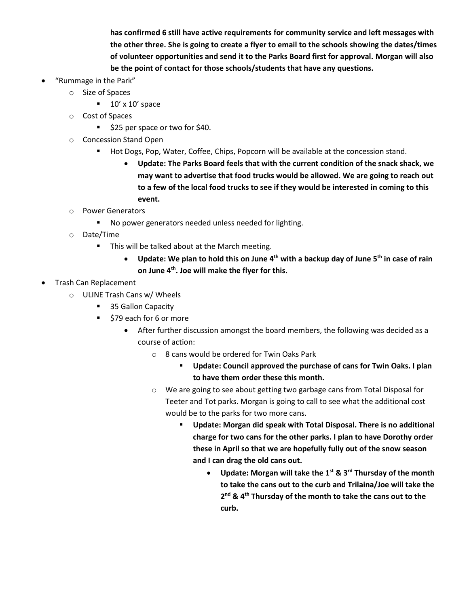**has confirmed 6 still have active requirements for community service and left messages with the other three. She is going to create a flyer to email to the schools showing the dates/times of volunteer opportunities and send it to the Parks Board first for approval. Morgan will also be the point of contact for those schools/students that have any questions.**

- "Rummage in the Park"
	- o Size of Spaces
		- $\blacksquare$  10' x 10' space
	- o Cost of Spaces
		- \$25 per space or two for \$40.
	- o Concession Stand Open
		- Hot Dogs, Pop, Water, Coffee, Chips, Popcorn will be available at the concession stand.
			- **Update: The Parks Board feels that with the current condition of the snack shack, we may want to advertise that food trucks would be allowed. We are going to reach out to a few of the local food trucks to see if they would be interested in coming to this event.**
	- o Power Generators
		- No power generators needed unless needed for lighting.
	- o Date/Time
		- This will be talked about at the March meeting.
			- **Update: We plan to hold this on June 4th with a backup day of June 5th in case of rain on June 4 th . Joe will make the flyer for this.**
- Trash Can Replacement
	- o ULINE Trash Cans w/ Wheels
		- 35 Gallon Capacity
		- \$79 each for 6 or more
			- After further discussion amongst the board members, the following was decided as a course of action:
				- o 8 cans would be ordered for Twin Oaks Park
					- **Update: Council approved the purchase of cans for Twin Oaks. I plan to have them order these this month.**
				- o We are going to see about getting two garbage cans from Total Disposal for Teeter and Tot parks. Morgan is going to call to see what the additional cost would be to the parks for two more cans.
					- Update: Morgan did speak with Total Disposal. There is no additional **charge for two cans for the other parks. I plan to have Dorothy order these in April so that we are hopefully fully out of the snow season and I can drag the old cans out.**
						- **Update: Morgan will take the 1st & 3rd Thursday of the month to take the cans out to the curb and Trilaina/Joe will take the 2 nd & 4th Thursday of the month to take the cans out to the curb.**